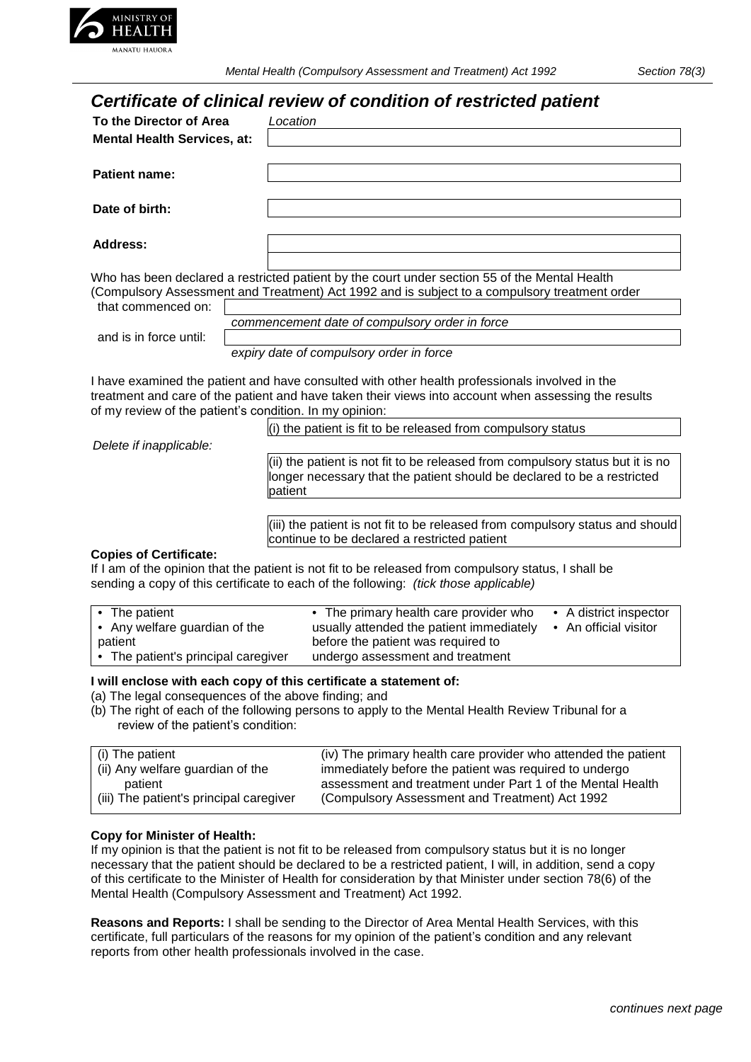

*Mental Health (Compulsory Assessment and Treatment) Act 1992 Section 78(3)*

# *Certificate of clinical review of condition of restricted patient*

|                                    | Certificate of clinical review of condition of restricted patient                                                                                                                                                                                                 |
|------------------------------------|-------------------------------------------------------------------------------------------------------------------------------------------------------------------------------------------------------------------------------------------------------------------|
| To the Director of Area            | Location                                                                                                                                                                                                                                                          |
| <b>Mental Health Services, at:</b> |                                                                                                                                                                                                                                                                   |
| <b>Patient name:</b>               |                                                                                                                                                                                                                                                                   |
| Date of birth:                     |                                                                                                                                                                                                                                                                   |
| Address:                           |                                                                                                                                                                                                                                                                   |
| that commenced on:                 | Who has been declared a restricted patient by the court under section 55 of the Mental Health<br>(Compulsory Assessment and Treatment) Act 1992 and is subject to a compulsory treatment order                                                                    |
|                                    | commencement date of compulsory order in force                                                                                                                                                                                                                    |
| and is in force until:             |                                                                                                                                                                                                                                                                   |
|                                    | expiry date of compulsory order in force                                                                                                                                                                                                                          |
|                                    | I have examined the patient and have consulted with other health professionals involved in the<br>treatment and care of the patient and have taken their views into account when assessing the results<br>of my review of the patient's condition. In my opinion: |
|                                    | (i) the patient is fit to be released from compulsory status                                                                                                                                                                                                      |
| Delete if inapplicable:            |                                                                                                                                                                                                                                                                   |
|                                    | (ii) the patient is not fit to be released from compulsory status but it is no<br>longer necessary that the patient should be declared to be a restricted<br>patient                                                                                              |
|                                    |                                                                                                                                                                                                                                                                   |
|                                    | (iii) the patient is not fit to be released from compulsory status and should<br>continue to be declared a restricted patient                                                                                                                                     |
| <b>Copies of Certificate:</b>      |                                                                                                                                                                                                                                                                   |
|                                    | If I am of the opinion that the patient is not fit to be released from compulsory status, I shall be<br>sending a copy of this certificate to each of the following: <i>(tick those applicable)</i>                                                               |

| • The patient                       | • The primary health care provider who   | • A district inspector |
|-------------------------------------|------------------------------------------|------------------------|
| • Any welfare guardian of the       | usually attended the patient immediately | • An official visitor  |
| patient                             | before the patient was required to       |                        |
| • The patient's principal caregiver | undergo assessment and treatment         |                        |

#### **I will enclose with each copy of this certificate a statement of:**

(a) The legal consequences of the above finding; and

(b) The right of each of the following persons to apply to the Mental Health Review Tribunal for a review of the patient's condition:

| (i) The patient                         | (iv) The primary health care provider who attended the patient |
|-----------------------------------------|----------------------------------------------------------------|
| (ii) Any welfare guardian of the        | immediately before the patient was required to undergo         |
| patient                                 | assessment and treatment under Part 1 of the Mental Health     |
| (iii) The patient's principal caregiver | (Compulsory Assessment and Treatment) Act 1992                 |
|                                         |                                                                |

#### **Copy for Minister of Health:**

If my opinion is that the patient is not fit to be released from compulsory status but it is no longer necessary that the patient should be declared to be a restricted patient, I will, in addition, send a copy of this certificate to the Minister of Health for consideration by that Minister under section 78(6) of the Mental Health (Compulsory Assessment and Treatment) Act 1992.

**Reasons and Reports:** I shall be sending to the Director of Area Mental Health Services, with this certificate, full particulars of the reasons for my opinion of the patient's condition and any relevant reports from other health professionals involved in the case.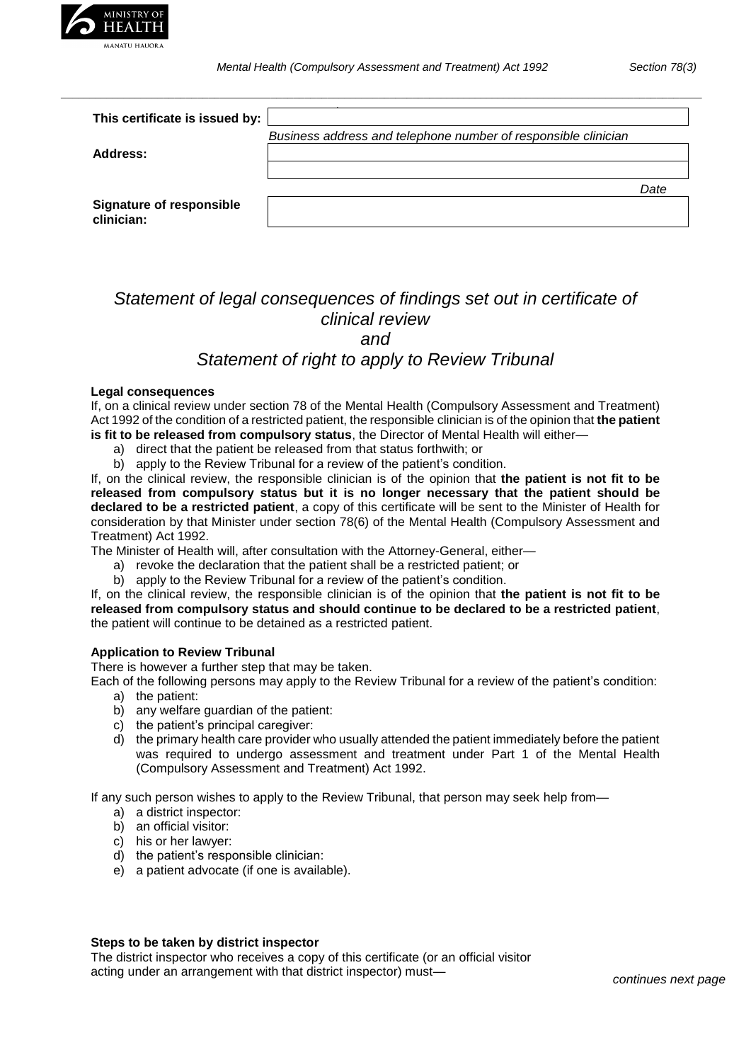

*\_\_\_\_\_\_\_\_\_\_\_\_\_\_\_\_\_\_\_\_\_\_\_\_\_\_\_\_\_\_\_\_\_\_\_\_\_\_\_\_\_\_\_\_\_\_\_\_\_\_\_\_\_\_\_\_\_\_\_\_\_\_\_\_\_\_\_\_\_\_\_\_\_\_\_\_\_\_\_\_\_\_\_\_\_\_\_\_\_\_\_\_\_\_\_\_\_\_\_\_\_\_\_\_\_\_\_\_\_\_\_\_\_*

| This certificate is issued by:                |                                                                |      |
|-----------------------------------------------|----------------------------------------------------------------|------|
|                                               | Business address and telephone number of responsible clinician |      |
| Address:                                      |                                                                |      |
|                                               |                                                                |      |
|                                               |                                                                | Date |
| <b>Signature of responsible</b><br>clinician: |                                                                |      |

## *Statement of legal consequences of findings set out in certificate of clinical review and*

## *Statement of right to apply to Review Tribunal*

#### **Legal consequences**

If, on a clinical review under section 78 of the Mental Health (Compulsory Assessment and Treatment) Act 1992 of the condition of a restricted patient, the responsible clinician is of the opinion that **the patient is fit to be released from compulsory status**, the Director of Mental Health will either—

- a) direct that the patient be released from that status forthwith; or
- b) apply to the Review Tribunal for a review of the patient's condition.

If, on the clinical review, the responsible clinician is of the opinion that **the patient is not fit to be released from compulsory status but it is no longer necessary that the patient should be declared to be a restricted patient**, a copy of this certificate will be sent to the Minister of Health for consideration by that Minister under section 78(6) of the Mental Health (Compulsory Assessment and Treatment) Act 1992.

The Minister of Health will, after consultation with the Attorney-General, either—

- a) revoke the declaration that the patient shall be a restricted patient; or
- b) apply to the Review Tribunal for a review of the patient's condition.

If, on the clinical review, the responsible clinician is of the opinion that **the patient is not fit to be released from compulsory status and should continue to be declared to be a restricted patient**, the patient will continue to be detained as a restricted patient.

### **Application to Review Tribunal**

There is however a further step that may be taken.

Each of the following persons may apply to the Review Tribunal for a review of the patient's condition:

- a) the patient:
- b) any welfare guardian of the patient:
- c) the patient's principal caregiver:
- d) the primary health care provider who usually attended the patient immediately before the patient was required to undergo assessment and treatment under Part 1 of the Mental Health (Compulsory Assessment and Treatment) Act 1992.

If any such person wishes to apply to the Review Tribunal, that person may seek help from—

- a) a district inspector:
- b) an official visitor:
- c) his or her lawyer:
- d) the patient's responsible clinician:
- e) a patient advocate (if one is available).

#### **Steps to be taken by district inspector**

The district inspector who receives a copy of this certificate (or an official visitor acting under an arrangement with that district inspector) must—